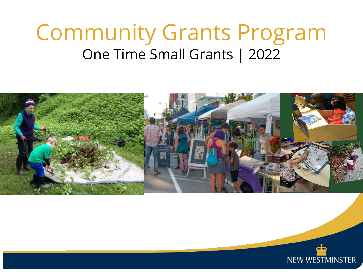# Community Grants Program One Time Small Grants | 2022



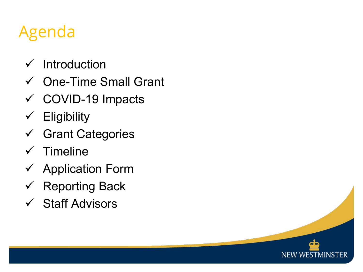# Agenda

- $\checkmark$  Introduction
- One-Time Small Grant
- COVID-19 Impacts
- $\checkmark$  Eligibility
- Grant Categories
- $\checkmark$  Timeline
- $\checkmark$  Application Form
- $\checkmark$  Reporting Back
- $\checkmark$  Staff Advisors

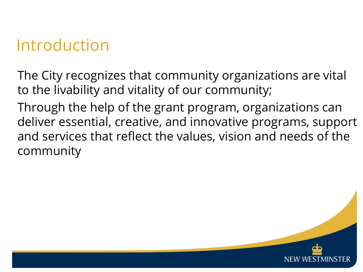### Introduction

The City recognizes that community organizations are vital to the livability and vitality of our community;

Through the help of the grant program, organizations can deliver essential, creative, and innovative programs, support and services that reflect the values, vision and needs of the community

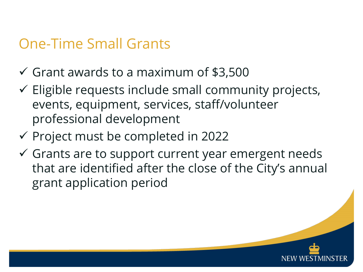#### One-Time Small Grants

- $\checkmark$  Grant awards to a maximum of \$3,500
- $\checkmark$  Eligible requests include small community projects, events, equipment, services, staff/volunteer professional development
- $\checkmark$  Project must be completed in 2022
- $\checkmark$  Grants are to support current year emergent needs that are identified after the close of the City's annual grant application period

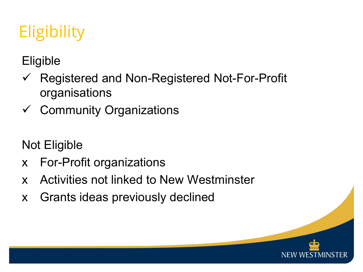# **Eligibility**

**Eligible** 

- $\checkmark$  Registered and Non-Registered Not-For-Profit organisations
- $\checkmark$  Community Organizations

Not Eligible

- x For-Profit organizations
- x Activities not linked to New Westminster
- x Grants ideas previously declined

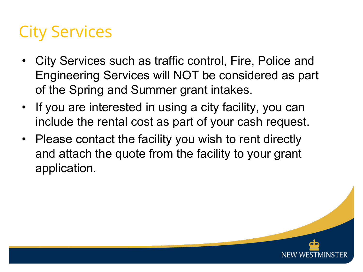## City Services

- City Services such as traffic control, Fire, Police and Engineering Services will NOT be considered as part of the Spring and Summer grant intakes.
- If you are interested in using a city facility, you can include the rental cost as part of your cash request.
- Please contact the facility you wish to rent directly and attach the quote from the facility to your grant application.

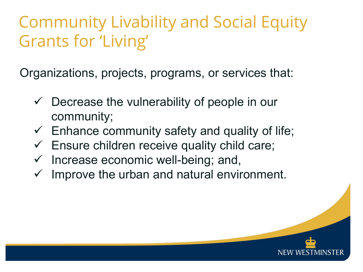# Community Livability and Social Equity Grants for 'Living'

Organizations, projects, programs, or services that:

- $\checkmark$  Decrease the vulnerability of people in our community;
- $\checkmark$  Enhance community safety and quality of life;
- $\checkmark$  Ensure children receive quality child care;
- $\checkmark$  Increase economic well-being; and,
- Improve the urban and natural environment.

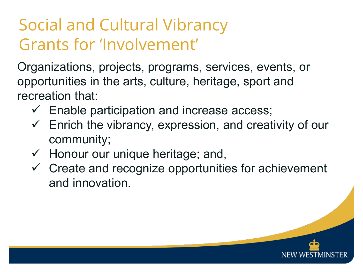# Social and Cultural Vibrancy Grants for 'Involvement'

Organizations, projects, programs, services, events, or opportunities in the arts, culture, heritage, sport and recreation that:

- $\checkmark$  Enable participation and increase access;
- $\checkmark$  Enrich the vibrancy, expression, and creativity of our community;
- $\checkmark$  Honour our unique heritage; and,
- $\checkmark$  Create and recognize opportunities for achievement and innovation.

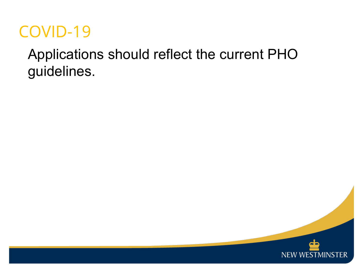#### COVID-19

#### Applications should reflect the current PHO guidelines.

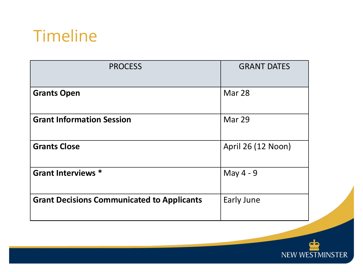#### Timeline

| Mar 28             |  |
|--------------------|--|
| Mar 29             |  |
| April 26 (12 Noon) |  |
| May 4 - 9          |  |
| Early June         |  |
|                    |  |

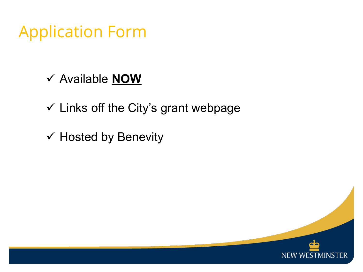#### Application Form

- Available **NOW**
- $\checkmark$  Links off the City's grant webpage
- $\checkmark$  Hosted by Benevity

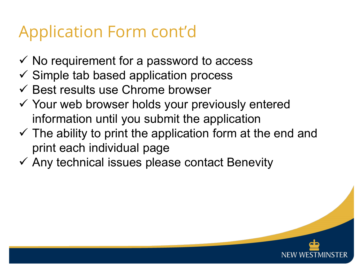# Application Form cont'd

- $\checkmark$  No requirement for a password to access
- $\checkmark$  Simple tab based application process
- $\checkmark$  Best results use Chrome browser
- $\checkmark$  Your web browser holds your previously entered information until you submit the application
- $\checkmark$  The ability to print the application form at the end and print each individual page
- $\checkmark$  Any technical issues please contact Benevity

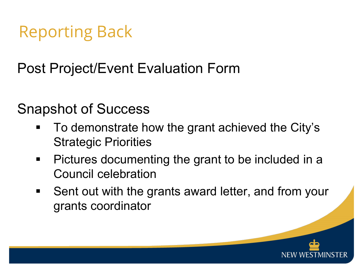# Reporting Back

Post Project/Event Evaluation Form

#### Snapshot of Success

- To demonstrate how the grant achieved the City's Strategic Priorities
- **Pictures documenting the grant to be included in a** Council celebration
- Sent out with the grants award letter, and from your grants coordinator

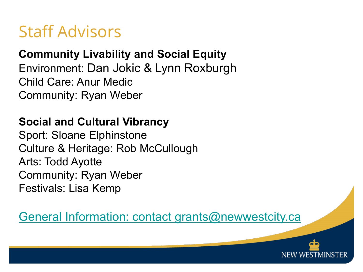#### Staff Advisors

#### **Community Livability and Social Equity**

Environment: Dan Jokic & Lynn Roxburgh Child Care: Anur Medic Community: Ryan Weber

#### **Social and Cultural Vibrancy**

Sport: Sloane Elphinstone Culture & Heritage: Rob McCullough Arts: Todd Ayotte Community: Ryan Weber Festivals: Lisa Kemp

#### [General Information: contact grants@newwestcity.ca](mailto:grants@newwestcity.ca)